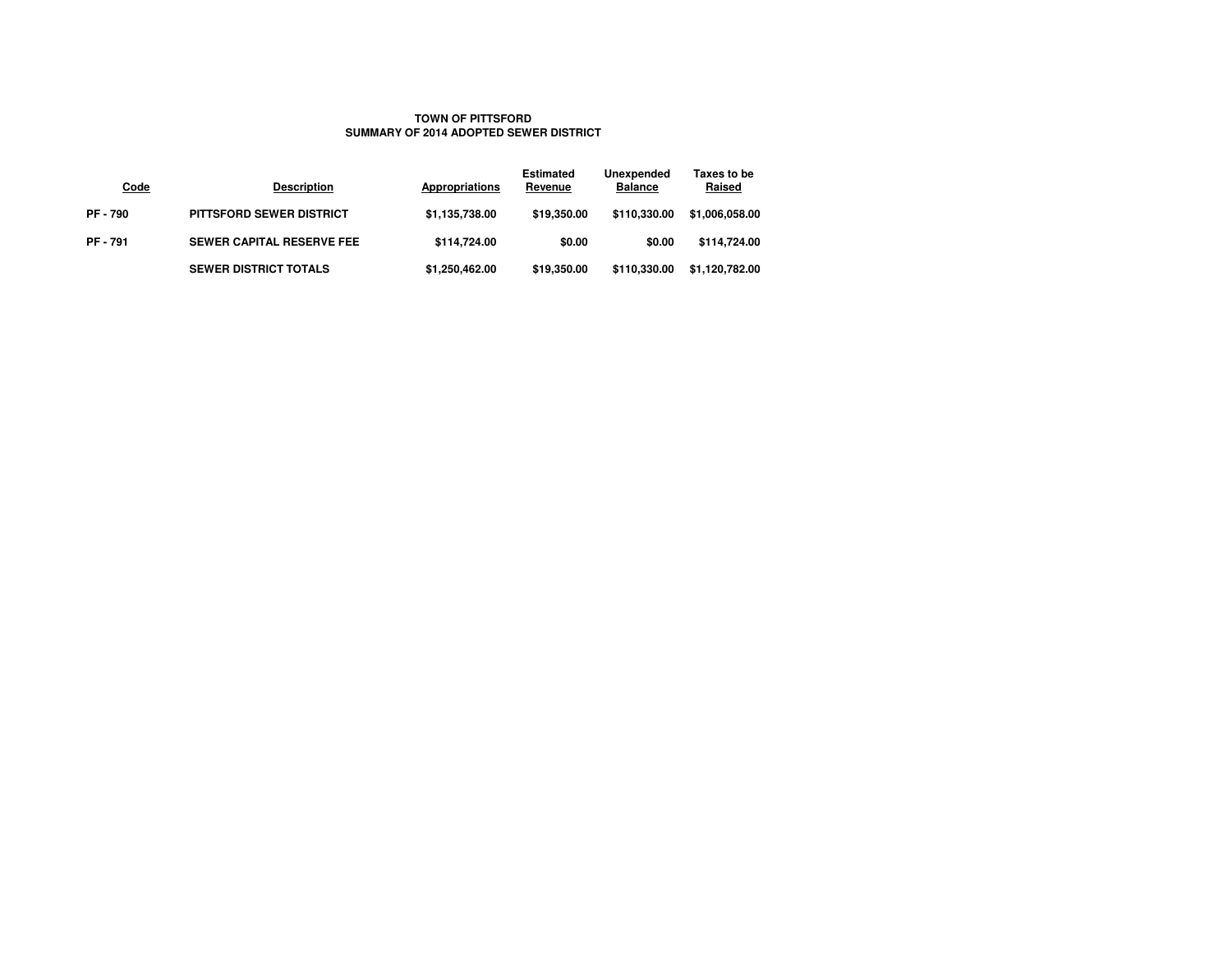## **TOWN OF PITTSFORDSUMMARY OF 2014 ADOPTED SEWER DISTRICT**

| Code          | <b>Description</b>               | Appropriations | <b>Estimated</b><br>Revenue | Unexpended<br><b>Balance</b> | Taxes to be<br>Raised |
|---------------|----------------------------------|----------------|-----------------------------|------------------------------|-----------------------|
| <b>PF-790</b> | <b>PITTSFORD SEWER DISTRICT</b>  | \$1,135,738.00 | \$19,350.00                 | \$110,330,00                 | \$1,006,058.00        |
| <b>PF-791</b> | <b>SEWER CAPITAL RESERVE FEE</b> | \$114,724.00   | \$0.00                      | \$0.00                       | \$114,724.00          |
|               | <b>SEWER DISTRICT TOTALS</b>     | \$1,250,462.00 | \$19,350.00                 | \$110,330,00                 | \$1,120,782.00        |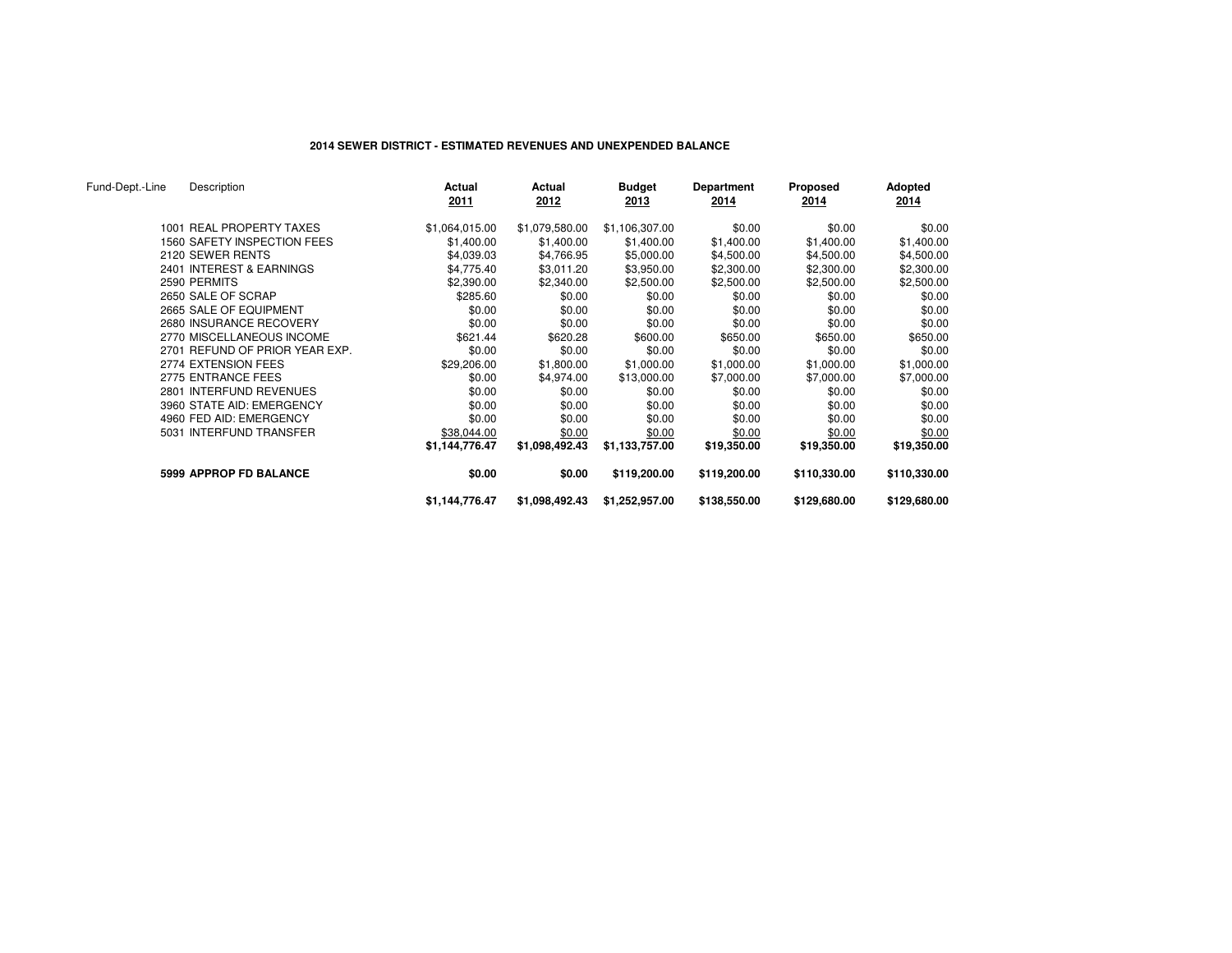# **2014 SEWER DISTRICT - ESTIMATED REVENUES AND UNEXPENDED BALANCE**

| Fund-Dept.-Line | Description                    | Actual<br>2011 | Actual<br>2012 | <b>Budget</b><br>2013 | Department<br>2014 | Proposed<br>2014 | Adopted<br>2014 |
|-----------------|--------------------------------|----------------|----------------|-----------------------|--------------------|------------------|-----------------|
|                 | 1001 REAL PROPERTY TAXES       | \$1,064,015.00 | \$1,079,580.00 | \$1,106,307.00        | \$0.00             | \$0.00           | \$0.00          |
|                 | 1560 SAFETY INSPECTION FEES    | \$1,400.00     | \$1,400.00     | \$1,400.00            | \$1,400.00         | \$1,400.00       | \$1,400.00      |
|                 | 2120 SEWER RENTS               | \$4,039.03     | \$4,766.95     | \$5,000.00            | \$4,500.00         | \$4,500.00       | \$4,500.00      |
|                 | 2401 INTEREST & EARNINGS       | \$4,775.40     | \$3,011.20     | \$3,950.00            | \$2,300.00         | \$2,300.00       | \$2,300.00      |
|                 | 2590 PERMITS                   | \$2,390.00     | \$2,340.00     | \$2,500.00            | \$2,500.00         | \$2,500.00       | \$2,500.00      |
|                 | 2650 SALE OF SCRAP             | \$285.60       | \$0.00         | \$0.00                | \$0.00             | \$0.00           | \$0.00          |
|                 | 2665 SALE OF EQUIPMENT         | \$0.00         | \$0.00         | \$0.00                | \$0.00             | \$0.00           | \$0.00          |
|                 | 2680 INSURANCE RECOVERY        | \$0.00         | \$0.00         | \$0.00                | \$0.00             | \$0.00           | \$0.00          |
|                 | 2770 MISCELLANEOUS INCOME      | \$621.44       | \$620.28       | \$600.00              | \$650.00           | \$650.00         | \$650.00        |
|                 | 2701 REFUND OF PRIOR YEAR EXP. | \$0.00         | \$0.00         | \$0.00                | \$0.00             | \$0.00           | \$0.00          |
|                 | 2774 EXTENSION FEES            | \$29,206.00    | \$1,800.00     | \$1,000.00            | \$1,000.00         | \$1,000.00       | \$1,000.00      |
|                 | 2775 ENTRANCE FEES             | \$0.00         | \$4,974.00     | \$13,000.00           | \$7,000.00         | \$7,000.00       | \$7,000.00      |
|                 | 2801 INTERFUND REVENUES        | \$0.00         | \$0.00         | \$0.00                | \$0.00             | \$0.00           | \$0.00          |
|                 | 3960 STATE AID: EMERGENCY      | \$0.00         | \$0.00         | \$0.00                | \$0.00             | \$0.00           | \$0.00          |
|                 | 4960 FED AID: EMERGENCY        | \$0.00         | \$0.00         | \$0.00                | \$0.00             | \$0.00           | \$0.00          |
|                 | 5031 INTERFUND TRANSFER        | \$38,044.00    | \$0.00         | \$0.00                | \$0.00             | \$0.00           | \$0.00          |
|                 |                                | \$1,144,776.47 | \$1,098,492.43 | \$1,133,757.00        | \$19,350.00        | \$19,350.00      | \$19,350.00     |
|                 | <b>5999 APPROP FD BALANCE</b>  | \$0.00         | \$0.00         | \$119,200.00          | \$119,200.00       | \$110,330.00     | \$110,330.00    |
|                 |                                | \$1,144,776.47 | \$1,098,492.43 | \$1,252,957.00        | \$138,550.00       | \$129,680.00     | \$129,680.00    |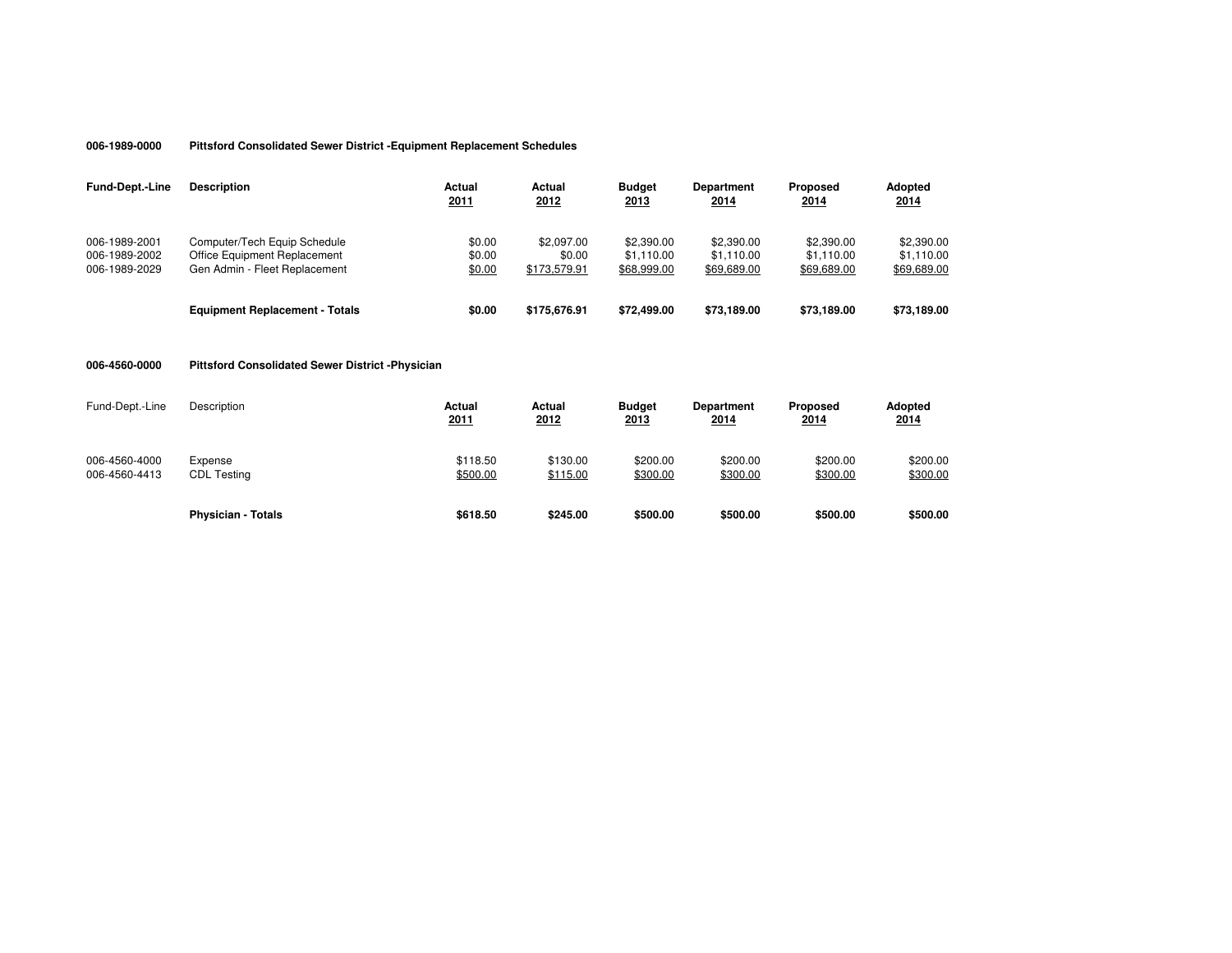#### **006-1989-0000Pittsford Consolidated Sewer District -Equipment Replacement Schedules**

| <b>Fund-Dept.-Line</b>                          | <b>Description</b>                                                                            | Actual<br>2011             | Actual<br>2012                       | <b>Budget</b><br>2013                   | <b>Department</b><br>2014               | Proposed<br>2014                        | <b>Adopted</b><br>2014                  |
|-------------------------------------------------|-----------------------------------------------------------------------------------------------|----------------------------|--------------------------------------|-----------------------------------------|-----------------------------------------|-----------------------------------------|-----------------------------------------|
| 006-1989-2001<br>006-1989-2002<br>006-1989-2029 | Computer/Tech Equip Schedule<br>Office Equipment Replacement<br>Gen Admin - Fleet Replacement | \$0.00<br>\$0.00<br>\$0.00 | \$2.097.00<br>\$0.00<br>\$173,579.91 | \$2,390.00<br>\$1.110.00<br>\$68,999.00 | \$2,390.00<br>\$1.110.00<br>\$69,689.00 | \$2,390.00<br>\$1.110.00<br>\$69,689.00 | \$2,390.00<br>\$1.110.00<br>\$69,689.00 |
|                                                 | <b>Equipment Replacement - Totals</b>                                                         | \$0.00                     | \$175,676.91                         | \$72,499.00                             | \$73,189,00                             | \$73,189,00                             | \$73,189.00                             |

## **006-4560-0000Pittsford Consolidated Sewer District -Physician**

| Fund-Dept.-Line                | Description                   | Actual<br>2011       | Actual<br>2012       | <b>Budget</b><br>2013 | <b>Department</b><br>2014 | Proposed<br>2014     | Adopted<br>2014      |
|--------------------------------|-------------------------------|----------------------|----------------------|-----------------------|---------------------------|----------------------|----------------------|
| 006-4560-4000<br>006-4560-4413 | Expense<br><b>CDL Testing</b> | \$118.50<br>\$500.00 | \$130.00<br>\$115.00 | \$200.00<br>\$300.00  | \$200.00<br>\$300.00      | \$200.00<br>\$300.00 | \$200.00<br>\$300.00 |
|                                | <b>Physician - Totals</b>     | \$618.50             | \$245.00             | \$500.00              | \$500.00                  | \$500.00             | \$500.00             |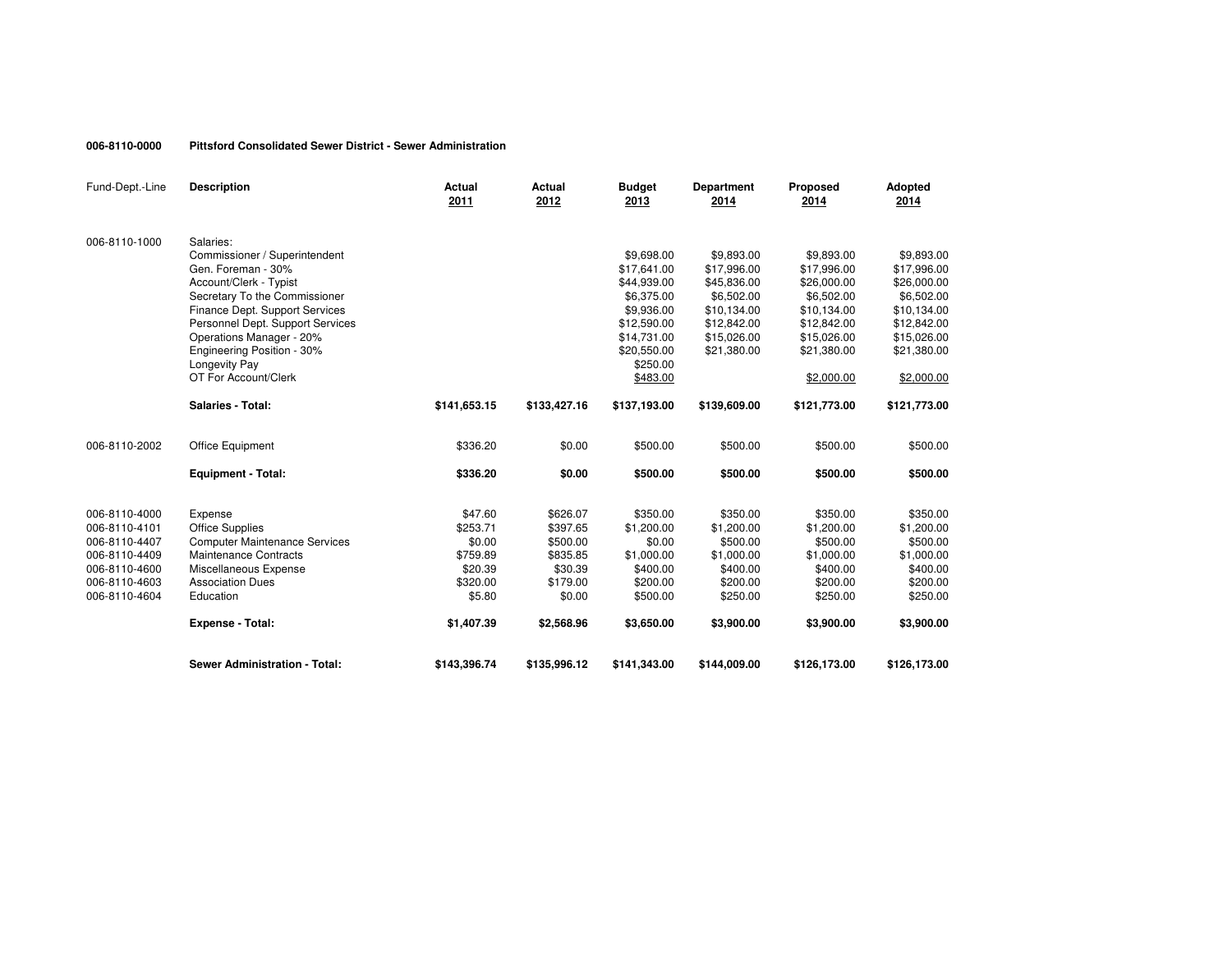#### **006-8110-0000Pittsford Consolidated Sewer District - Sewer Administration**

| Fund-Dept.-Line | <b>Description</b>                   | Actual<br>2011 | <b>Actual</b><br>2012 | <b>Budget</b><br>2013 | <b>Department</b><br>2014 | <b>Proposed</b><br>2014 | Adopted<br>2014 |
|-----------------|--------------------------------------|----------------|-----------------------|-----------------------|---------------------------|-------------------------|-----------------|
| 006-8110-1000   | Salaries:                            |                |                       |                       |                           |                         |                 |
|                 | Commissioner / Superintendent        |                |                       | \$9,698.00            | \$9,893.00                | \$9,893.00              | \$9,893.00      |
|                 | Gen. Foreman - 30%                   |                |                       | \$17,641.00           | \$17,996.00               | \$17,996.00             | \$17,996.00     |
|                 | Account/Clerk - Typist               |                |                       | \$44,939.00           | \$45,836.00               | \$26,000.00             | \$26,000.00     |
|                 | Secretary To the Commissioner        |                |                       | \$6,375.00            | \$6,502.00                | \$6.502.00              | \$6,502.00      |
|                 | Finance Dept. Support Services       |                |                       | \$9,936.00            | \$10,134.00               | \$10,134.00             | \$10,134.00     |
|                 | Personnel Dept. Support Services     |                |                       | \$12,590.00           | \$12,842.00               | \$12,842.00             | \$12,842.00     |
|                 | Operations Manager - 20%             |                |                       | \$14,731.00           | \$15,026.00               | \$15,026.00             | \$15,026.00     |
|                 | Engineering Position - 30%           |                |                       | \$20,550.00           | \$21,380.00               | \$21,380.00             | \$21,380.00     |
|                 | Longevity Pay                        |                |                       | \$250.00              |                           |                         |                 |
|                 | OT For Account/Clerk                 |                |                       | \$483.00              |                           | \$2,000.00              | \$2,000.00      |
|                 | <b>Salaries - Total:</b>             | \$141,653.15   | \$133,427.16          | \$137,193.00          | \$139,609.00              | \$121,773.00            | \$121,773.00    |
| 006-8110-2002   | <b>Office Equipment</b>              | \$336.20       | \$0.00                | \$500.00              | \$500.00                  | \$500.00                | \$500.00        |
|                 | <b>Equipment - Total:</b>            | \$336.20       | \$0.00                | \$500.00              | \$500.00                  | \$500.00                | \$500.00        |
|                 |                                      |                |                       |                       |                           |                         |                 |
| 006-8110-4000   | Expense                              | \$47.60        | \$626.07              | \$350.00              | \$350.00                  | \$350.00                | \$350.00        |
| 006-8110-4101   | <b>Office Supplies</b>               | \$253.71       | \$397.65              | \$1,200.00            | \$1,200.00                | \$1,200.00              | \$1,200.00      |
| 006-8110-4407   | <b>Computer Maintenance Services</b> | \$0.00         | \$500.00              | \$0.00                | \$500.00                  | \$500.00                | \$500.00        |
| 006-8110-4409   | Maintenance Contracts                | \$759.89       | \$835.85              | \$1,000.00            | \$1,000.00                | \$1,000.00              | \$1,000.00      |
| 006-8110-4600   | Miscellaneous Expense                | \$20.39        | \$30.39               | \$400.00              | \$400.00                  | \$400.00                | \$400.00        |
| 006-8110-4603   | <b>Association Dues</b>              | \$320.00       | \$179.00              | \$200.00              | \$200.00                  | \$200.00                | \$200.00        |
| 006-8110-4604   | Education                            | \$5.80         | \$0.00                | \$500.00              | \$250.00                  | \$250.00                | \$250.00        |
|                 | <b>Expense - Total:</b>              | \$1,407.39     | \$2,568.96            | \$3,650.00            | \$3,900.00                | \$3,900.00              | \$3,900.00      |
|                 | <b>Sewer Administration - Total:</b> | \$143,396.74   | \$135,996.12          | \$141,343.00          | \$144,009.00              | \$126,173.00            | \$126,173.00    |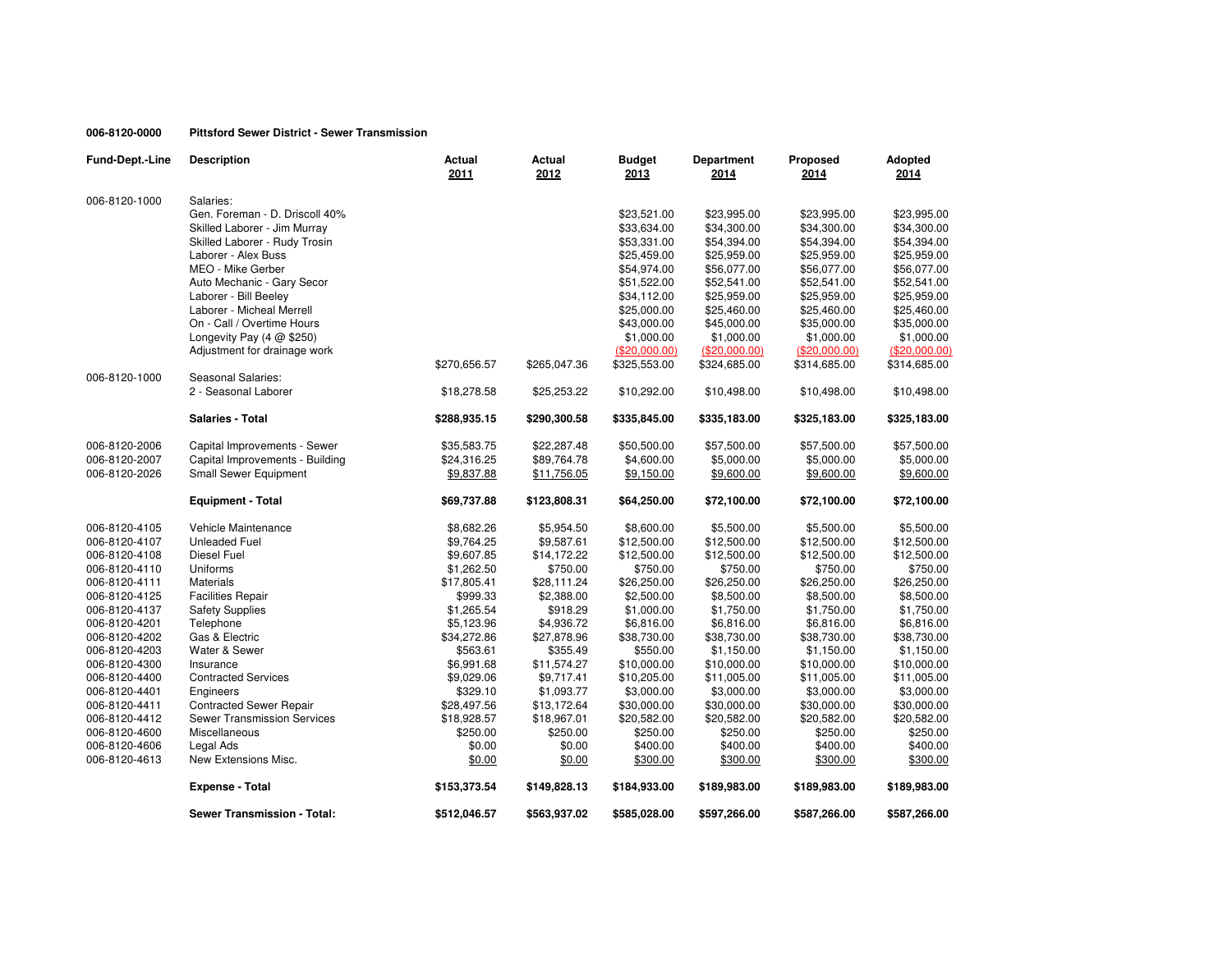## **006-8120-0000Pittsford Sewer District - Sewer Transmission**

| Fund-Dept.-Line | <b>Description</b>                  | Actual<br>2011 | Actual<br>2012 | <b>Budget</b><br>2013 | <b>Department</b><br>2014 | Proposed<br>2014 | Adopted<br>2014 |
|-----------------|-------------------------------------|----------------|----------------|-----------------------|---------------------------|------------------|-----------------|
| 006-8120-1000   | Salaries:                           |                |                |                       |                           |                  |                 |
|                 | Gen. Foreman - D. Driscoll 40%      |                |                | \$23,521.00           | \$23,995.00               | \$23,995.00      | \$23,995.00     |
|                 | Skilled Laborer - Jim Murray        |                |                | \$33,634.00           | \$34,300.00               | \$34,300.00      | \$34,300.00     |
|                 | Skilled Laborer - Rudy Trosin       |                |                | \$53,331.00           | \$54,394.00               | \$54,394.00      | \$54,394.00     |
|                 | Laborer - Alex Buss                 |                |                | \$25,459.00           | \$25,959.00               | \$25,959.00      | \$25,959.00     |
|                 | MEO - Mike Gerber                   |                |                | \$54,974.00           | \$56,077.00               | \$56,077.00      | \$56,077.00     |
|                 | Auto Mechanic - Gary Secor          |                |                | \$51,522.00           | \$52,541.00               | \$52,541.00      | \$52,541.00     |
|                 | Laborer - Bill Beeley               |                |                | \$34,112.00           | \$25,959.00               | \$25,959.00      | \$25,959.00     |
|                 | Laborer - Micheal Merrell           |                |                | \$25,000.00           | \$25,460.00               | \$25,460.00      | \$25,460.00     |
|                 | On - Call / Overtime Hours          |                |                | \$43,000.00           | \$45,000.00               | \$35,000.00      | \$35,000.00     |
|                 | Longevity Pay $(4 \text{ @ } $250)$ |                |                | \$1,000.00            | \$1,000.00                | \$1,000.00       | \$1,000.00      |
|                 | Adjustment for drainage work        |                |                | (\$20,000.00)         | (\$20,000.00)             | (\$20,000.00)    | (\$20,000.00)   |
|                 |                                     | \$270,656.57   | \$265,047.36   | \$325,553.00          | \$324,685.00              | \$314,685.00     | \$314,685.00    |
| 006-8120-1000   | Seasonal Salaries:                  |                |                |                       |                           |                  |                 |
|                 | 2 - Seasonal Laborer                | \$18,278.58    | \$25,253.22    | \$10,292.00           | \$10,498.00               | \$10,498.00      | \$10,498.00     |
|                 | <b>Salaries - Total</b>             | \$288,935.15   | \$290,300.58   | \$335,845.00          | \$335,183.00              | \$325,183.00     | \$325,183.00    |
| 006-8120-2006   | Capital Improvements - Sewer        | \$35,583.75    | \$22,287.48    | \$50,500.00           | \$57,500.00               | \$57,500.00      | \$57,500.00     |
| 006-8120-2007   | Capital Improvements - Building     | \$24,316.25    | \$89,764.78    | \$4,600.00            | \$5,000.00                | \$5,000.00       | \$5,000.00      |
| 006-8120-2026   | <b>Small Sewer Equipment</b>        | \$9,837.88     | \$11,756.05    | \$9,150.00            | \$9,600.00                | \$9,600.00       | \$9,600.00      |
|                 |                                     |                |                |                       |                           |                  |                 |
|                 | <b>Equipment - Total</b>            | \$69,737.88    | \$123,808.31   | \$64,250.00           | \$72,100.00               | \$72,100.00      | \$72,100.00     |
| 006-8120-4105   | Vehicle Maintenance                 | \$8,682.26     | \$5,954.50     | \$8,600.00            | \$5,500.00                | \$5,500.00       | \$5,500.00      |
| 006-8120-4107   | <b>Unleaded Fuel</b>                | \$9,764.25     | \$9,587.61     | \$12,500.00           | \$12,500.00               | \$12,500.00      | \$12,500.00     |
| 006-8120-4108   | <b>Diesel Fuel</b>                  | \$9,607.85     | \$14,172.22    | \$12,500.00           | \$12,500.00               | \$12,500.00      | \$12,500.00     |
| 006-8120-4110   | Uniforms                            | \$1,262.50     | \$750.00       | \$750.00              | \$750.00                  | \$750.00         | \$750.00        |
| 006-8120-4111   | <b>Materials</b>                    | \$17,805.41    | \$28,111.24    | \$26,250.00           | \$26,250.00               | \$26,250.00      | \$26,250.00     |
| 006-8120-4125   | <b>Facilities Repair</b>            | \$999.33       | \$2,388.00     | \$2,500.00            | \$8,500.00                | \$8,500.00       | \$8,500.00      |
| 006-8120-4137   | <b>Safety Supplies</b>              | \$1,265.54     | \$918.29       | \$1,000.00            | \$1,750.00                | \$1,750.00       | \$1,750.00      |
| 006-8120-4201   | Telephone                           | \$5,123.96     | \$4,936.72     | \$6,816.00            | \$6,816.00                | \$6,816.00       | \$6,816.00      |
| 006-8120-4202   | Gas & Electric                      | \$34,272.86    | \$27,878.96    | \$38,730.00           | \$38,730.00               | \$38,730.00      | \$38,730.00     |
| 006-8120-4203   | Water & Sewer                       | \$563.61       | \$355.49       | \$550.00              | \$1,150.00                | \$1,150.00       | \$1,150.00      |
| 006-8120-4300   | Insurance                           | \$6,991.68     | \$11,574.27    | \$10,000.00           | \$10,000.00               | \$10,000.00      | \$10,000.00     |
| 006-8120-4400   | <b>Contracted Services</b>          | \$9,029.06     | \$9,717.41     | \$10,205.00           | \$11,005.00               | \$11,005.00      | \$11,005.00     |
| 006-8120-4401   | Engineers                           | \$329.10       | \$1,093.77     | \$3,000.00            | \$3,000.00                | \$3,000.00       | \$3,000.00      |
| 006-8120-4411   | <b>Contracted Sewer Repair</b>      | \$28,497.56    | \$13,172.64    | \$30,000.00           | \$30,000.00               | \$30,000.00      | \$30,000.00     |
| 006-8120-4412   | <b>Sewer Transmission Services</b>  | \$18,928.57    | \$18,967.01    | \$20,582.00           | \$20,582.00               | \$20,582.00      | \$20,582.00     |
| 006-8120-4600   | Miscellaneous                       | \$250.00       | \$250.00       | \$250.00              | \$250.00                  | \$250.00         | \$250.00        |
| 006-8120-4606   | Legal Ads                           | \$0.00         | \$0.00         | \$400.00              | \$400.00                  | \$400.00         | \$400.00        |
| 006-8120-4613   | New Extensions Misc.                | \$0.00         | \$0.00         | \$300.00              | \$300.00                  | \$300.00         | \$300.00        |
|                 | <b>Expense - Total</b>              | \$153,373.54   | \$149,828.13   | \$184,933.00          | \$189,983.00              | \$189,983.00     | \$189,983.00    |
|                 | <b>Sewer Transmission - Total:</b>  | \$512,046.57   | \$563,937.02   | \$585,028.00          | \$597,266.00              | \$587,266.00     | \$587,266.00    |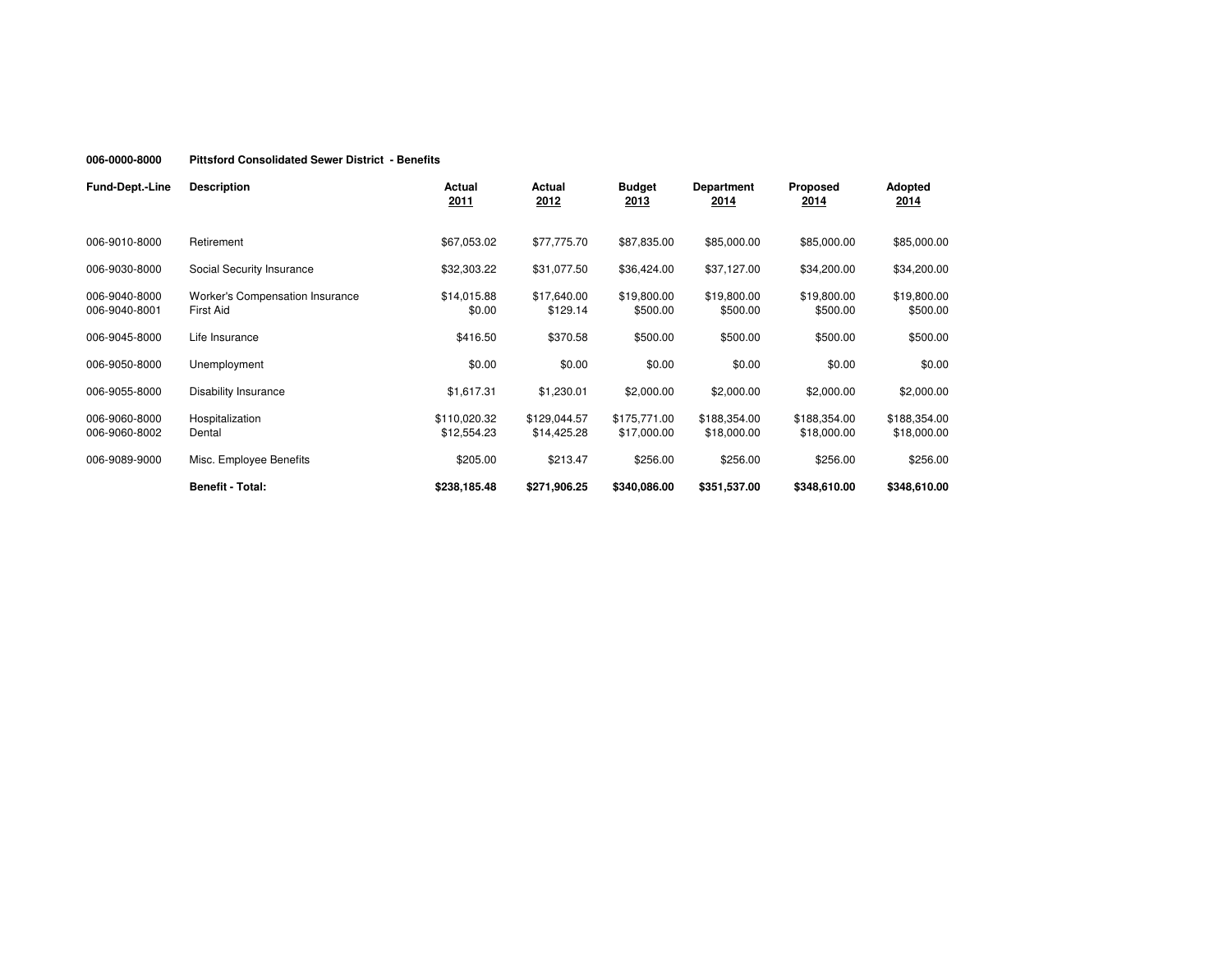#### **006-0000-8000Pittsford Consolidated Sewer District - Benefits**

| <b>Fund-Dept.-Line</b>         | <b>Description</b>                                  | Actual<br>2011              | Actual<br>2012              | <b>Budget</b><br>2013       | <b>Department</b><br>2014   | <b>Proposed</b><br>2014     | Adopted<br>2014             |
|--------------------------------|-----------------------------------------------------|-----------------------------|-----------------------------|-----------------------------|-----------------------------|-----------------------------|-----------------------------|
|                                |                                                     |                             |                             |                             |                             |                             |                             |
| 006-9010-8000                  | Retirement                                          | \$67,053.02                 | \$77,775.70                 | \$87,835.00                 | \$85,000.00                 | \$85,000.00                 | \$85,000.00                 |
| 006-9030-8000                  | Social Security Insurance                           | \$32,303.22                 | \$31,077.50                 | \$36,424.00                 | \$37,127.00                 | \$34,200.00                 | \$34,200.00                 |
| 006-9040-8000<br>006-9040-8001 | Worker's Compensation Insurance<br><b>First Aid</b> | \$14,015.88<br>\$0.00       | \$17,640.00<br>\$129.14     | \$19,800.00<br>\$500.00     | \$19,800.00<br>\$500.00     | \$19,800.00<br>\$500.00     | \$19,800.00<br>\$500.00     |
| 006-9045-8000                  | Life Insurance                                      | \$416.50                    | \$370.58                    | \$500.00                    | \$500.00                    | \$500.00                    | \$500.00                    |
| 006-9050-8000                  | Unemployment                                        | \$0.00                      | \$0.00                      | \$0.00                      | \$0.00                      | \$0.00                      | \$0.00                      |
| 006-9055-8000                  | Disability Insurance                                | \$1,617.31                  | \$1,230.01                  | \$2,000.00                  | \$2,000.00                  | \$2,000.00                  | \$2,000.00                  |
| 006-9060-8000<br>006-9060-8002 | Hospitalization<br>Dental                           | \$110,020.32<br>\$12,554.23 | \$129,044.57<br>\$14,425.28 | \$175,771.00<br>\$17,000.00 | \$188,354.00<br>\$18,000.00 | \$188,354.00<br>\$18,000.00 | \$188,354.00<br>\$18,000.00 |
| 006-9089-9000                  | Misc. Employee Benefits                             | \$205.00                    | \$213.47                    | \$256.00                    | \$256.00                    | \$256.00                    | \$256.00                    |
|                                | <b>Benefit - Total:</b>                             | \$238,185.48                | \$271,906.25                | \$340,086.00                | \$351,537.00                | \$348,610.00                | \$348,610.00                |